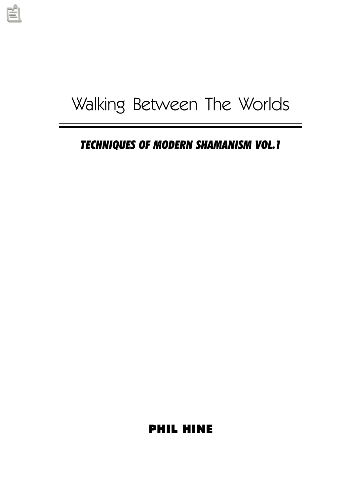# Walking Between The Worlds

TECHNIQUES OF MODERN SHAMANISM VOL.1

PHIL HINE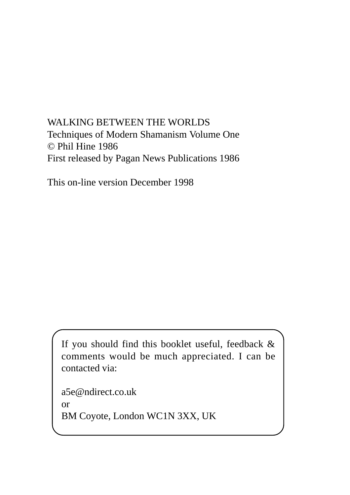## WALKING BETWEEN THE WORLDS Techniques of Modern Shamanism Volume One © Phil Hine 1986 First released by Pagan News Publications 1986

This on-line version December 1998

If you should find this booklet useful, feedback & comments would be much appreciated. I can be contacted via:

a5e@ndirect.co.uk or BM Coyote, London WC1N 3XX, UK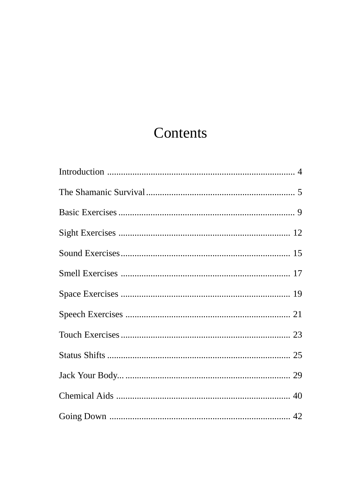## Contents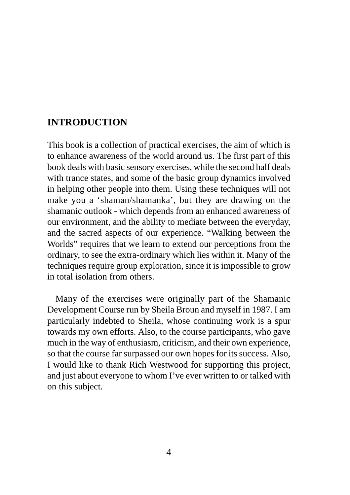## **INTRODUCTION**

This book is a collection of practical exercises, the aim of which is to enhance awareness of the world around us. The first part of this book deals with basic sensory exercises, while the second half deals with trance states, and some of the basic group dynamics involved in helping other people into them. Using these techniques will not make you a 'shaman/shamanka', but they are drawing on the shamanic outlook - which depends from an enhanced awareness of our environment, and the ability to mediate between the everyday, and the sacred aspects of our experience. "Walking between the Worlds" requires that we learn to extend our perceptions from the ordinary, to see the extra-ordinary which lies within it. Many of the techniques require group exploration, since it is impossible to grow in total isolation from others.

Many of the exercises were originally part of the Shamanic Development Course run by Sheila Broun and myself in 1987. I am particularly indebted to Sheila, whose continuing work is a spur towards my own efforts. Also, to the course participants, who gave much in the way of enthusiasm, criticism, and their own experience, so that the course far surpassed our own hopes for its success. Also, I would like to thank Rich Westwood for supporting this project, and just about everyone to whom I've ever written to or talked with on this subject.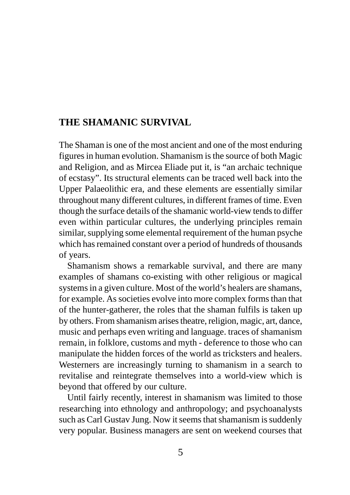## **THE SHAMANIC SURVIVAL**

The Shaman is one of the most ancient and one of the most enduring figures in human evolution. Shamanism is the source of both Magic and Religion, and as Mircea Eliade put it, is "an archaic technique of ecstasy". Its structural elements can be traced well back into the Upper Palaeolithic era, and these elements are essentially similar throughout many different cultures, in different frames of time. Even though the surface details of the shamanic world-view tends to differ even within particular cultures, the underlying principles remain similar, supplying some elemental requirement of the human psyche which has remained constant over a period of hundreds of thousands of years.

Shamanism shows a remarkable survival, and there are many examples of shamans co-existing with other religious or magical systems in a given culture. Most of the world's healers are shamans, for example. As societies evolve into more complex forms than that of the hunter-gatherer, the roles that the shaman fulfils is taken up by others. From shamanism arises theatre, religion, magic, art, dance, music and perhaps even writing and language. traces of shamanism remain, in folklore, customs and myth - deference to those who can manipulate the hidden forces of the world as tricksters and healers. Westerners are increasingly turning to shamanism in a search to revitalise and reintegrate themselves into a world-view which is beyond that offered by our culture.

Until fairly recently, interest in shamanism was limited to those researching into ethnology and anthropology; and psychoanalysts such as Carl Gustav Jung. Now it seems that shamanism is suddenly very popular. Business managers are sent on weekend courses that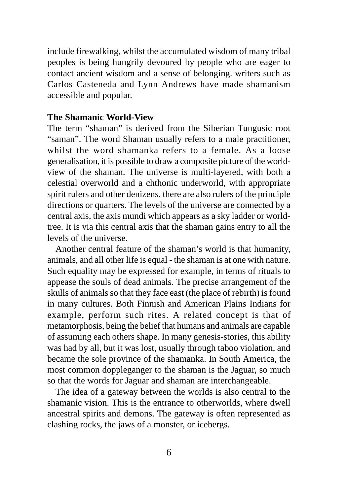include firewalking, whilst the accumulated wisdom of many tribal peoples is being hungrily devoured by people who are eager to contact ancient wisdom and a sense of belonging. writers such as Carlos Casteneda and Lynn Andrews have made shamanism accessible and popular.

#### **The Shamanic World-View**

The term "shaman" is derived from the Siberian Tungusic root "saman". The word Shaman usually refers to a male practitioner, whilst the word shamanka refers to a female. As a loose generalisation, it is possible to draw a composite picture of the worldview of the shaman. The universe is multi-layered, with both a celestial overworld and a chthonic underworld, with appropriate spirit rulers and other denizens. there are also rulers of the principle directions or quarters. The levels of the universe are connected by a central axis, the axis mundi which appears as a sky ladder or worldtree. It is via this central axis that the shaman gains entry to all the levels of the universe.

Another central feature of the shaman's world is that humanity, animals, and all other life is equal - the shaman is at one with nature. Such equality may be expressed for example, in terms of rituals to appease the souls of dead animals. The precise arrangement of the skulls of animals so that they face east (the place of rebirth) is found in many cultures. Both Finnish and American Plains Indians for example, perform such rites. A related concept is that of metamorphosis, being the belief that humans and animals are capable of assuming each others shape. In many genesis-stories, this ability was had by all, but it was lost, usually through taboo violation, and became the sole province of the shamanka. In South America, the most common doppleganger to the shaman is the Jaguar, so much so that the words for Jaguar and shaman are interchangeable.

The idea of a gateway between the worlds is also central to the shamanic vision. This is the entrance to otherworlds, where dwell ancestral spirits and demons. The gateway is often represented as clashing rocks, the jaws of a monster, or icebergs.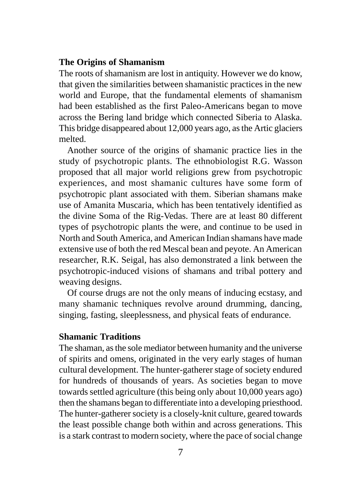#### **The Origins of Shamanism**

The roots of shamanism are lost in antiquity. However we do know, that given the similarities between shamanistic practices in the new world and Europe, that the fundamental elements of shamanism had been established as the first Paleo-Americans began to move across the Bering land bridge which connected Siberia to Alaska. This bridge disappeared about 12,000 years ago, as the Artic glaciers melted.

Another source of the origins of shamanic practice lies in the study of psychotropic plants. The ethnobiologist R.G. Wasson proposed that all major world religions grew from psychotropic experiences, and most shamanic cultures have some form of psychotropic plant associated with them. Siberian shamans make use of Amanita Muscaria, which has been tentatively identified as the divine Soma of the Rig-Vedas. There are at least 80 different types of psychotropic plants the were, and continue to be used in North and South America, and American Indian shamans have made extensive use of both the red Mescal bean and peyote. An American researcher, R.K. Seigal, has also demonstrated a link between the psychotropic-induced visions of shamans and tribal pottery and weaving designs.

Of course drugs are not the only means of inducing ecstasy, and many shamanic techniques revolve around drumming, dancing, singing, fasting, sleeplessness, and physical feats of endurance.

#### **Shamanic Traditions**

The shaman, as the sole mediator between humanity and the universe of spirits and omens, originated in the very early stages of human cultural development. The hunter-gatherer stage of society endured for hundreds of thousands of years. As societies began to move towards settled agriculture (this being only about 10,000 years ago) then the shamans began to differentiate into a developing priesthood. The hunter-gatherer society is a closely-knit culture, geared towards the least possible change both within and across generations. This is a stark contrast to modern society, where the pace of social change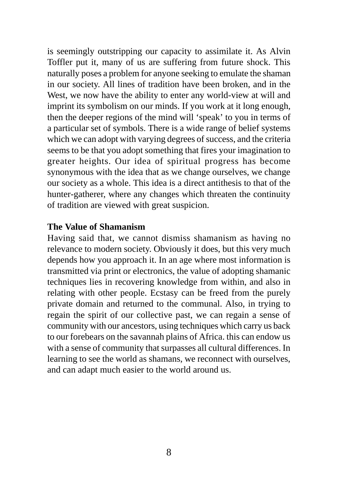is seemingly outstripping our capacity to assimilate it. As Alvin Toffler put it, many of us are suffering from future shock. This naturally poses a problem for anyone seeking to emulate the shaman in our society. All lines of tradition have been broken, and in the West, we now have the ability to enter any world-view at will and imprint its symbolism on our minds. If you work at it long enough, then the deeper regions of the mind will 'speak' to you in terms of a particular set of symbols. There is a wide range of belief systems which we can adopt with varying degrees of success, and the criteria seems to be that you adopt something that fires your imagination to greater heights. Our idea of spiritual progress has become synonymous with the idea that as we change ourselves, we change our society as a whole. This idea is a direct antithesis to that of the hunter-gatherer, where any changes which threaten the continuity of tradition are viewed with great suspicion.

#### **The Value of Shamanism**

Having said that, we cannot dismiss shamanism as having no relevance to modern society. Obviously it does, but this very much depends how you approach it. In an age where most information is transmitted via print or electronics, the value of adopting shamanic techniques lies in recovering knowledge from within, and also in relating with other people. Ecstasy can be freed from the purely private domain and returned to the communal. Also, in trying to regain the spirit of our collective past, we can regain a sense of community with our ancestors, using techniques which carry us back to our forebears on the savannah plains of Africa. this can endow us with a sense of community that surpasses all cultural differences. In learning to see the world as shamans, we reconnect with ourselves, and can adapt much easier to the world around us.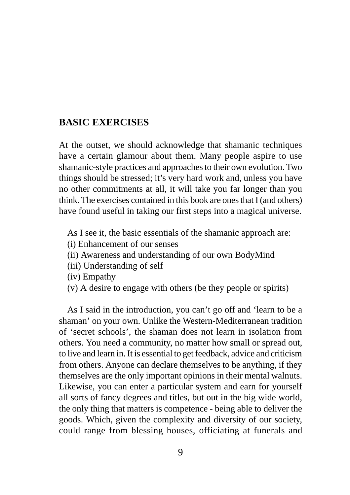## **BASIC EXERCISES**

At the outset, we should acknowledge that shamanic techniques have a certain glamour about them. Many people aspire to use shamanic-style practices and approaches to their own evolution. Two things should be stressed; it's very hard work and, unless you have no other commitments at all, it will take you far longer than you think. The exercises contained in this book are ones that I (and others) have found useful in taking our first steps into a magical universe.

As I see it, the basic essentials of the shamanic approach are:

- (i) Enhancement of our senses
- (ii) Awareness and understanding of our own BodyMind
- (iii) Understanding of self
- (iv) Empathy
- (v) A desire to engage with others (be they people or spirits)

As I said in the introduction, you can't go off and 'learn to be a shaman' on your own. Unlike the Western-Mediterranean tradition of 'secret schools', the shaman does not learn in isolation from others. You need a community, no matter how small or spread out, to live and learn in. It is essential to get feedback, advice and criticism from others. Anyone can declare themselves to be anything, if they themselves are the only important opinions in their mental walnuts. Likewise, you can enter a particular system and earn for yourself all sorts of fancy degrees and titles, but out in the big wide world, the only thing that matters is competence - being able to deliver the goods. Which, given the complexity and diversity of our society, could range from blessing houses, officiating at funerals and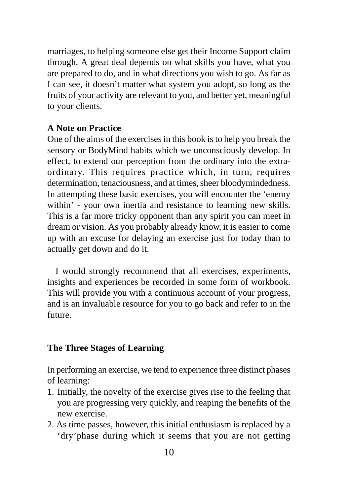marriages, to helping someone else get their Income Support claim through. A great deal depends on what skills you have, what you are prepared to do, and in what directions you wish to go. As far as I can see, it doesn't matter what system you adopt, so long as the fruits of your activity are relevant to you, and better yet, meaningful to your clients.

#### **A Note on Practice**

One of the aims of the exercises in this book is to help you break the sensory or BodyMind habits which we unconsciously develop. In effect, to extend our perception from the ordinary into the extraordinary. This requires practice which, in turn, requires determination, tenaciousness, and at times, sheer bloodymindedness. In attempting these basic exercises, you will encounter the 'enemy within' - your own inertia and resistance to learning new skills. This is a far more tricky opponent than any spirit you can meet in dream or vision. As you probably already know, it is easier to come up with an excuse for delaying an exercise just for today than to actually get down and do it.

I would strongly recommend that all exercises, experiments, insights and experiences be recorded in some form of workbook. This will provide you with a continuous account of your progress, and is an invaluable resource for you to go back and refer to in the future.

## **The Three Stages of Learning**

In performing an exercise, we tend to experience three distinct phases of learning:

- 1. Initially, the novelty of the exercise gives rise to the feeling that you are progressing very quickly, and reaping the benefits of the new exercise.
- 2. As time passes, however, this initial enthusiasm is replaced by a 'dry'phase during which it seems that you are not getting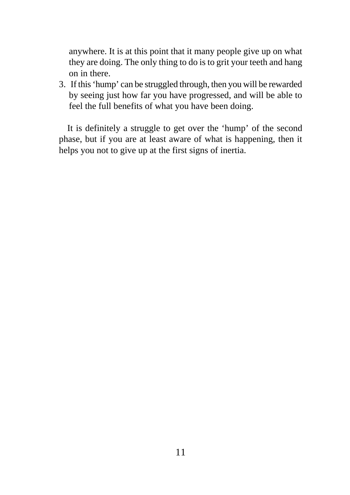anywhere. It is at this point that it many people give up on what they are doing. The only thing to do is to grit your teeth and hang on in there.

3. If this 'hump' can be struggled through, then you will be rewarded by seeing just how far you have progressed, and will be able to feel the full benefits of what you have been doing.

It is definitely a struggle to get over the 'hump' of the second phase, but if you are at least aware of what is happening, then it helps you not to give up at the first signs of inertia.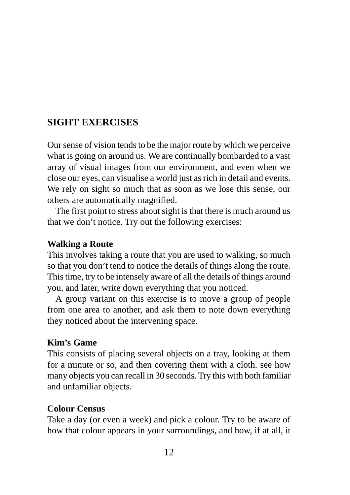## **SIGHT EXERCISES**

Our sense of vision tends to be the major route by which we perceive what is going on around us. We are continually bombarded to a vast array of visual images from our environment, and even when we close our eyes, can visualise a world just as rich in detail and events. We rely on sight so much that as soon as we lose this sense, our others are automatically magnified.

The first point to stress about sight is that there is much around us that we don't notice. Try out the following exercises:

## **Walking a Route**

This involves taking a route that you are used to walking, so much so that you don't tend to notice the details of things along the route. This time, try to be intensely aware of all the details of things around you, and later, write down everything that you noticed.

A group variant on this exercise is to move a group of people from one area to another, and ask them to note down everything they noticed about the intervening space.

## **Kim's Game**

This consists of placing several objects on a tray, looking at them for a minute or so, and then covering them with a cloth. see how many objects you can recall in 30 seconds. Try this with both familiar and unfamiliar objects.

## **Colour Census**

Take a day (or even a week) and pick a colour. Try to be aware of how that colour appears in your surroundings, and how, if at all, it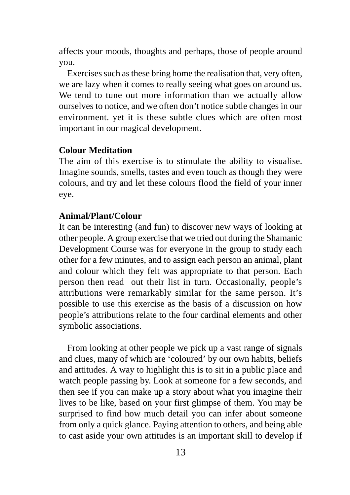affects your moods, thoughts and perhaps, those of people around you.

Exercises such as these bring home the realisation that, very often, we are lazy when it comes to really seeing what goes on around us. We tend to tune out more information than we actually allow ourselves to notice, and we often don't notice subtle changes in our environment. yet it is these subtle clues which are often most important in our magical development.

#### **Colour Meditation**

The aim of this exercise is to stimulate the ability to visualise. Imagine sounds, smells, tastes and even touch as though they were colours, and try and let these colours flood the field of your inner eye.

#### **Animal/Plant/Colour**

It can be interesting (and fun) to discover new ways of looking at other people. A group exercise that we tried out during the Shamanic Development Course was for everyone in the group to study each other for a few minutes, and to assign each person an animal, plant and colour which they felt was appropriate to that person. Each person then read out their list in turn. Occasionally, people's attributions were remarkably similar for the same person. It's possible to use this exercise as the basis of a discussion on how people's attributions relate to the four cardinal elements and other symbolic associations.

From looking at other people we pick up a vast range of signals and clues, many of which are 'coloured' by our own habits, beliefs and attitudes. A way to highlight this is to sit in a public place and watch people passing by. Look at someone for a few seconds, and then see if you can make up a story about what you imagine their lives to be like, based on your first glimpse of them. You may be surprised to find how much detail you can infer about someone from only a quick glance. Paying attention to others, and being able to cast aside your own attitudes is an important skill to develop if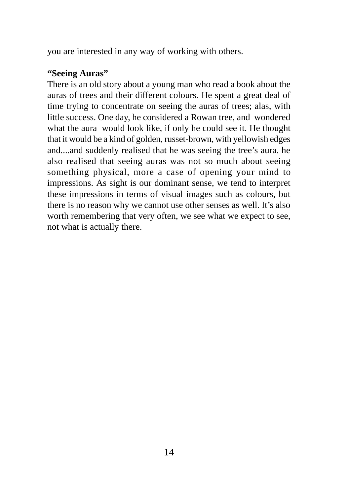you are interested in any way of working with others.

#### **"Seeing Auras"**

There is an old story about a young man who read a book about the auras of trees and their different colours. He spent a great deal of time trying to concentrate on seeing the auras of trees; alas, with little success. One day, he considered a Rowan tree, and wondered what the aura would look like, if only he could see it. He thought that it would be a kind of golden, russet-brown, with yellowish edges and....and suddenly realised that he was seeing the tree's aura. he also realised that seeing auras was not so much about seeing something physical, more a case of opening your mind to impressions. As sight is our dominant sense, we tend to interpret these impressions in terms of visual images such as colours, but there is no reason why we cannot use other senses as well. It's also worth remembering that very often, we see what we expect to see, not what is actually there.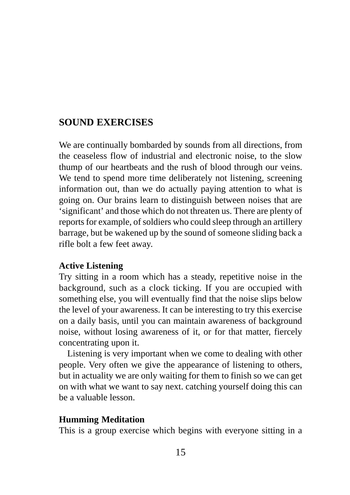## **SOUND EXERCISES**

We are continually bombarded by sounds from all directions, from the ceaseless flow of industrial and electronic noise, to the slow thump of our heartbeats and the rush of blood through our veins. We tend to spend more time deliberately not listening, screening information out, than we do actually paying attention to what is going on. Our brains learn to distinguish between noises that are 'significant' and those which do not threaten us. There are plenty of reports for example, of soldiers who could sleep through an artillery barrage, but be wakened up by the sound of someone sliding back a rifle bolt a few feet away.

### **Active Listening**

Try sitting in a room which has a steady, repetitive noise in the background, such as a clock ticking. If you are occupied with something else, you will eventually find that the noise slips below the level of your awareness. It can be interesting to try this exercise on a daily basis, until you can maintain awareness of background noise, without losing awareness of it, or for that matter, fiercely concentrating upon it.

Listening is very important when we come to dealing with other people. Very often we give the appearance of listening to others, but in actuality we are only waiting for them to finish so we can get on with what we want to say next. catching yourself doing this can be a valuable lesson.

#### **Humming Meditation**

This is a group exercise which begins with everyone sitting in a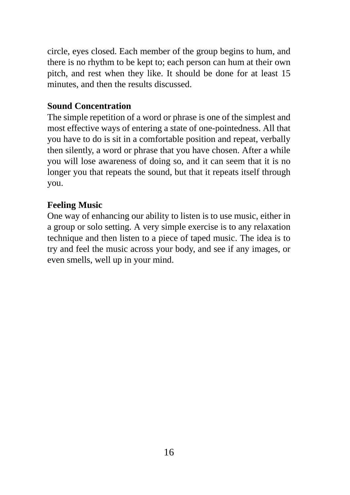circle, eyes closed. Each member of the group begins to hum, and there is no rhythm to be kept to; each person can hum at their own pitch, and rest when they like. It should be done for at least 15 minutes, and then the results discussed.

### **Sound Concentration**

The simple repetition of a word or phrase is one of the simplest and most effective ways of entering a state of one-pointedness. All that you have to do is sit in a comfortable position and repeat, verbally then silently, a word or phrase that you have chosen. After a while you will lose awareness of doing so, and it can seem that it is no longer you that repeats the sound, but that it repeats itself through you.

#### **Feeling Music**

One way of enhancing our ability to listen is to use music, either in a group or solo setting. A very simple exercise is to any relaxation technique and then listen to a piece of taped music. The idea is to try and feel the music across your body, and see if any images, or even smells, well up in your mind.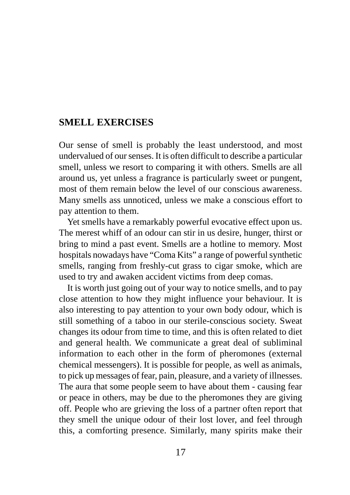## **SMELL EXERCISES**

Our sense of smell is probably the least understood, and most undervalued of our senses. It is often difficult to describe a particular smell, unless we resort to comparing it with others. Smells are all around us, yet unless a fragrance is particularly sweet or pungent, most of them remain below the level of our conscious awareness. Many smells ass unnoticed, unless we make a conscious effort to pay attention to them.

Yet smells have a remarkably powerful evocative effect upon us. The merest whiff of an odour can stir in us desire, hunger, thirst or bring to mind a past event. Smells are a hotline to memory. Most hospitals nowadays have "Coma Kits" a range of powerful synthetic smells, ranging from freshly-cut grass to cigar smoke, which are used to try and awaken accident victims from deep comas.

It is worth just going out of your way to notice smells, and to pay close attention to how they might influence your behaviour. It is also interesting to pay attention to your own body odour, which is still something of a taboo in our sterile-conscious society. Sweat changes its odour from time to time, and this is often related to diet and general health. We communicate a great deal of subliminal information to each other in the form of pheromones (external chemical messengers). It is possible for people, as well as animals, to pick up messages of fear, pain, pleasure, and a variety of illnesses. The aura that some people seem to have about them - causing fear or peace in others, may be due to the pheromones they are giving off. People who are grieving the loss of a partner often report that they smell the unique odour of their lost lover, and feel through this, a comforting presence. Similarly, many spirits make their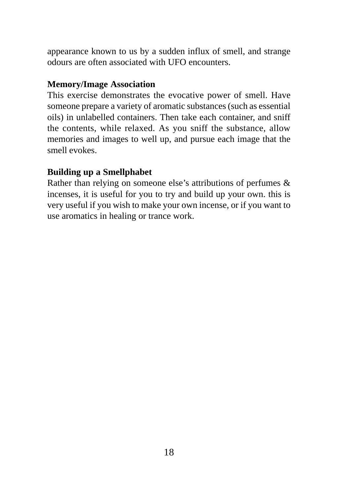appearance known to us by a sudden influx of smell, and strange odours are often associated with UFO encounters.

#### **Memory/Image Association**

This exercise demonstrates the evocative power of smell. Have someone prepare a variety of aromatic substances (such as essential oils) in unlabelled containers. Then take each container, and sniff the contents, while relaxed. As you sniff the substance, allow memories and images to well up, and pursue each image that the smell evokes.

### **Building up a Smellphabet**

Rather than relying on someone else's attributions of perfumes & incenses, it is useful for you to try and build up your own. this is very useful if you wish to make your own incense, or if you want to use aromatics in healing or trance work.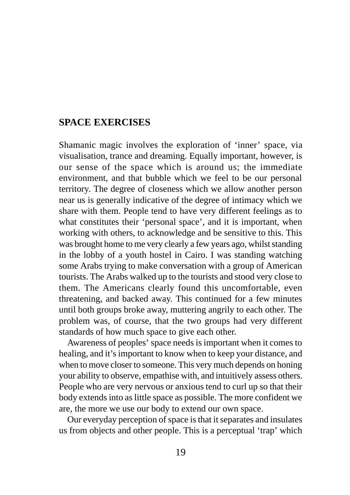## <span id="page-18-0"></span>**SPACE EXERCISES**

Shamanic magic involves the exploration of 'inner' space, via visualisation, trance and dreaming. Equally important, however, is our sense of the space which is around us; the immediate environment, and that bubble which we feel to be our personal territory. The degree of closeness which we allow another person near us is generally indicative of the degree of intimacy which we share with them. People tend to have very different feelings as to what constitutes their 'personal space', and it is important, when working with others, to acknowledge and be sensitive to this. This was brought home to me very clearly a few years ago, whilst standing in the lobby of a youth hostel in Cairo. I was standing watching some Arabs trying to make conversation with a group of American tourists. The Arabs walked up to the tourists and stood very close to them. The Americans clearly found this uncomfortable, even threatening, and backed away. This continued for a few minutes until both groups broke away, muttering angrily to each other. The problem was, of course, that the two groups had very different standards of how much space to give each other.

Awareness of peoples' space needs is important when it comes to healing, and it's important to know when to keep your distance, and when to move closer to someone. This very much depends on honing your ability to observe, empathise with, and intuitively assess others. People who are very nervous or anxious tend to curl up so that their body extends into as little space as possible. The more confident we are, the more we use our body to extend our own space.

Our everyday perception of space is that it separates and insulates us from objects and other people. This is a perceptual 'trap' which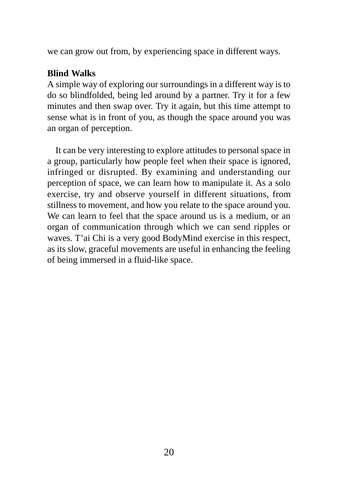we can grow out from, by experiencing space in different ways.

#### **Blind Walks**

A simple way of exploring our surroundings in a different way is to do so blindfolded, being led around by a partner. Try it for a few minutes and then swap over. Try it again, but this time attempt to sense what is in front of you, as though the space around you was an organ of perception.

It can be very interesting to explore attitudes to personal space in a group, particularly how people feel when their space is ignored, infringed or disrupted. By examining and understanding our perception of space, we can learn how to manipulate it. As a solo exercise, try and observe yourself in different situations, from stillness to movement, and how you relate to the space around you. We can learn to feel that the space around us is a medium, or an organ of communication through which we can send ripples or waves. T'ai Chi is a very good BodyMind exercise in this respect, as its slow, graceful movements are useful in enhancing the feeling of being immersed in a fluid-like space.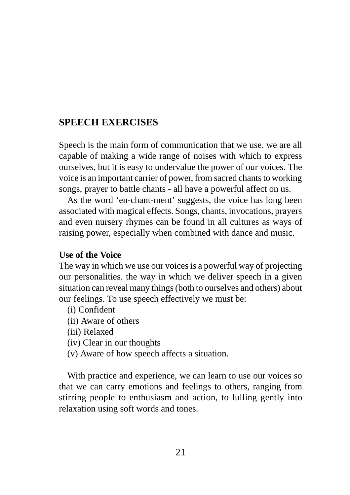## **SPEECH EXERCISES**

Speech is the main form of communication that we use. we are all capable of making a wide range of noises with which to express ourselves, but it is easy to undervalue the power of our voices. The voice is an important carrier of power, from sacred chants to working songs, prayer to battle chants - all have a powerful affect on us.

As the word 'en-chant-ment' suggests, the voice has long been associated with magical effects. Songs, chants, invocations, prayers and even nursery rhymes can be found in all cultures as ways of raising power, especially when combined with dance and music.

#### **Use of the Voice**

The way in which we use our voices is a powerful way of projecting our personalities. the way in which we deliver speech in a given situation can reveal many things (both to ourselves and others) about our feelings. To use speech effectively we must be:

- (i) Confident
- (ii) Aware of others
- (iii) Relaxed
- (iv) Clear in our thoughts
- (v) Aware of how speech affects a situation.

With practice and experience, we can learn to use our voices so that we can carry emotions and feelings to others, ranging from stirring people to enthusiasm and action, to lulling gently into relaxation using soft words and tones.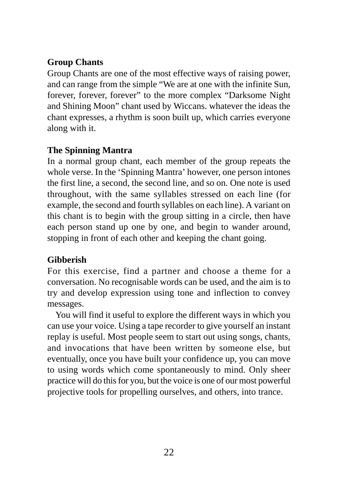## **Group Chants**

Group Chants are one of the most effective ways of raising power, and can range from the simple "We are at one with the infinite Sun, forever, forever, forever" to the more complex "Darksome Night and Shining Moon" chant used by Wiccans. whatever the ideas the chant expresses, a rhythm is soon built up, which carries everyone along with it.

## **The Spinning Mantra**

In a normal group chant, each member of the group repeats the whole verse. In the 'Spinning Mantra' however, one person intones the first line, a second, the second line, and so on. One note is used throughout, with the same syllables stressed on each line (for example, the second and fourth syllables on each line). A variant on this chant is to begin with the group sitting in a circle, then have each person stand up one by one, and begin to wander around, stopping in front of each other and keeping the chant going.

## **Gibberish**

For this exercise, find a partner and choose a theme for a conversation. No recognisable words can be used, and the aim is to try and develop expression using tone and inflection to convey messages.

You will find it useful to explore the different ways in which you can use your voice. Using a tape recorder to give yourself an instant replay is useful. Most people seem to start out using songs, chants, and invocations that have been written by someone else, but eventually, once you have built your confidence up, you can move to using words which come spontaneously to mind. Only sheer practice will do this for you, but the voice is one of our most powerful projective tools for propelling ourselves, and others, into trance.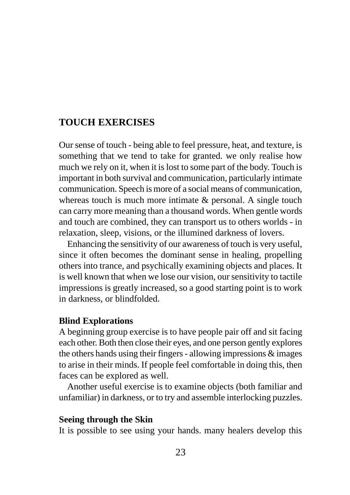## <span id="page-22-0"></span>**TOUCH EXERCISES**

Our sense of touch - being able to feel pressure, heat, and texture, is something that we tend to take for granted. we only realise how much we rely on it, when it is lost to some part of the body. Touch is important in both survival and communication, particularly intimate communication. Speech is more of a social means of communication, whereas touch is much more intimate & personal. A single touch can carry more meaning than a thousand words. When gentle words and touch are combined, they can transport us to others worlds - in relaxation, sleep, visions, or the illumined darkness of lovers.

Enhancing the sensitivity of our awareness of touch is very useful, since it often becomes the dominant sense in healing, propelling others into trance, and psychically examining objects and places. It is well known that when we lose our vision, our sensitivity to tactile impressions is greatly increased, so a good starting point is to work in darkness, or blindfolded.

#### **Blind Explorations**

A beginning group exercise is to have people pair off and sit facing each other. Both then close their eyes, and one person gently explores the others hands using their fingers - allowing impressions & images to arise in their minds. If people feel comfortable in doing this, then faces can be explored as well.

Another useful exercise is to examine objects (both familiar and unfamiliar) in darkness, or to try and assemble interlocking puzzles.

#### **Seeing through the Skin**

It is possible to see using your hands. many healers develop this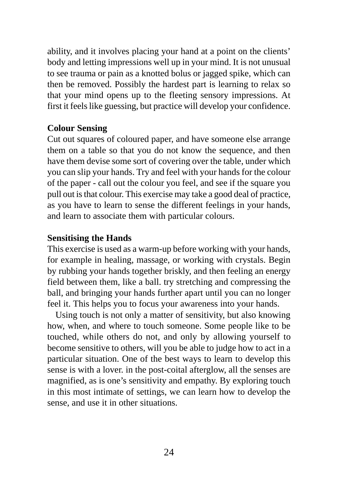ability, and it involves placing your hand at a point on the clients' body and letting impressions well up in your mind. It is not unusual to see trauma or pain as a knotted bolus or jagged spike, which can then be removed. Possibly the hardest part is learning to relax so that your mind opens up to the fleeting sensory impressions. At first it feels like guessing, but practice will develop your confidence.

#### **Colour Sensing**

Cut out squares of coloured paper, and have someone else arrange them on a table so that you do not know the sequence, and then have them devise some sort of covering over the table, under which you can slip your hands. Try and feel with your hands for the colour of the paper - call out the colour you feel, and see if the square you pull out is that colour. This exercise may take a good deal of practice, as you have to learn to sense the different feelings in your hands, and learn to associate them with particular colours.

#### **Sensitising the Hands**

This exercise is used as a warm-up before working with your hands, for example in healing, massage, or working with crystals. Begin by rubbing your hands together briskly, and then feeling an energy field between them, like a ball. try stretching and compressing the ball, and bringing your hands further apart until you can no longer feel it. This helps you to focus your awareness into your hands.

Using touch is not only a matter of sensitivity, but also knowing how, when, and where to touch someone. Some people like to be touched, while others do not, and only by allowing yourself to become sensitive to others, will you be able to judge how to act in a particular situation. One of the best ways to learn to develop this sense is with a lover. in the post-coital afterglow, all the senses are magnified, as is one's sensitivity and empathy. By exploring touch in this most intimate of settings, we can learn how to develop the sense, and use it in other situations.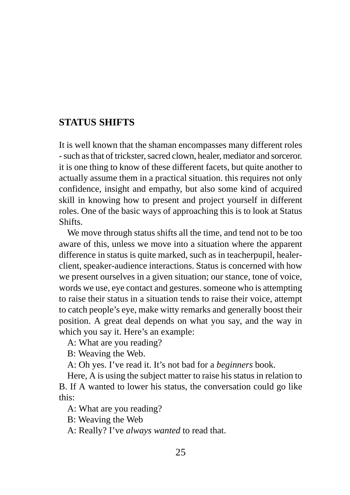## <span id="page-24-0"></span>**STATUS SHIFTS**

It is well known that the shaman encompasses many different roles - such as that of trickster, sacred clown, healer, mediator and sorceror. it is one thing to know of these different facets, but quite another to actually assume them in a practical situation. this requires not only confidence, insight and empathy, but also some kind of acquired skill in knowing how to present and project yourself in different roles. One of the basic ways of approaching this is to look at Status Shifts.

We move through status shifts all the time, and tend not to be too aware of this, unless we move into a situation where the apparent difference in status is quite marked, such as in teacherpupil, healerclient, speaker-audience interactions. Status is concerned with how we present ourselves in a given situation; our stance, tone of voice, words we use, eye contact and gestures. someone who is attempting to raise their status in a situation tends to raise their voice, attempt to catch people's eye, make witty remarks and generally boost their position. A great deal depends on what you say, and the way in which you say it. Here's an example:

A: What are you reading?

B: Weaving the Web.

A: Oh yes. I've read it. It's not bad for a *beginners* book.

Here, A is using the subject matter to raise his status in relation to B. If A wanted to lower his status, the conversation could go like this:

A: What are you reading?

B: Weaving the Web

A: Really? I've *always wanted* to read that.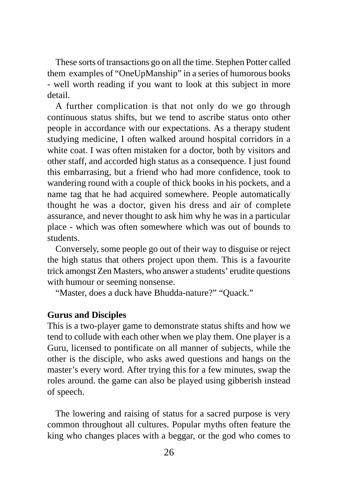These sorts of transactions go on all the time. Stephen Potter called them examples of "OneUpManship" in a series of humorous books - well worth reading if you want to look at this subject in more detail.

A further complication is that not only do we go through continuous status shifts, but we tend to ascribe status onto other people in accordance with our expectations. As a therapy student studying medicine, I often walked around hospital corridors in a white coat. I was often mistaken for a doctor, both by visitors and other staff, and accorded high status as a consequence. I just found this embarrasing, but a friend who had more confidence, took to wandering round with a couple of thick books in his pockets, and a name tag that he had acquired somewhere. People automatically thought he was a doctor, given his dress and air of complete assurance, and never thought to ask him why he was in a particular place - which was often somewhere which was out of bounds to students.

Conversely, some people go out of their way to disguise or reject the high status that others project upon them. This is a favourite trick amongst Zen Masters, who answer a students' erudite questions with humour or seeming nonsense.

"Master, does a duck have Bhudda-nature?" "Quack."

#### **Gurus and Disciples**

This is a two-player game to demonstrate status shifts and how we tend to collude with each other when we play them. One player is a Guru, licensed to pontificate on all manner of subjects, while the other is the disciple, who asks awed questions and hangs on the master's every word. After trying this for a few minutes, swap the roles around. the game can also be played using gibberish instead of speech.

The lowering and raising of status for a sacred purpose is very common throughout all cultures. Popular myths often feature the king who changes places with a beggar, or the god who comes to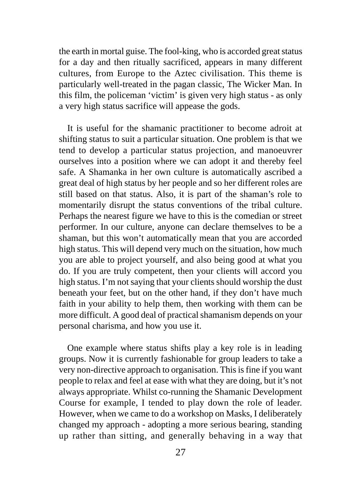the earth in mortal guise. The fool-king, who is accorded great status for a day and then ritually sacrificed, appears in many different cultures, from Europe to the Aztec civilisation. This theme is particularly well-treated in the pagan classic, The Wicker Man. In this film, the policeman 'victim' is given very high status - as only a very high status sacrifice will appease the gods.

It is useful for the shamanic practitioner to become adroit at shifting status to suit a particular situation. One problem is that we tend to develop a particular status projection, and manoeuvrer ourselves into a position where we can adopt it and thereby feel safe. A Shamanka in her own culture is automatically ascribed a great deal of high status by her people and so her different roles are still based on that status. Also, it is part of the shaman's role to momentarily disrupt the status conventions of the tribal culture. Perhaps the nearest figure we have to this is the comedian or street performer. In our culture, anyone can declare themselves to be a shaman, but this won't automatically mean that you are accorded high status. This will depend very much on the situation, how much you are able to project yourself, and also being good at what you do. If you are truly competent, then your clients will accord you high status. I'm not saying that your clients should worship the dust beneath your feet, but on the other hand, if they don't have much faith in your ability to help them, then working with them can be more difficult. A good deal of practical shamanism depends on your personal charisma, and how you use it.

One example where status shifts play a key role is in leading groups. Now it is currently fashionable for group leaders to take a very non-directive approach to organisation. This is fine if you want people to relax and feel at ease with what they are doing, but it's not always appropriate. Whilst co-running the Shamanic Development Course for example, I tended to play down the role of leader. However, when we came to do a workshop on Masks, I deliberately changed my approach - adopting a more serious bearing, standing up rather than sitting, and generally behaving in a way that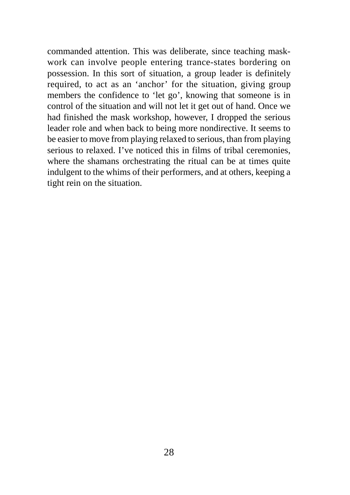commanded attention. This was deliberate, since teaching maskwork can involve people entering trance-states bordering on possession. In this sort of situation, a group leader is definitely required, to act as an 'anchor' for the situation, giving group members the confidence to 'let go', knowing that someone is in control of the situation and will not let it get out of hand. Once we had finished the mask workshop, however, I dropped the serious leader role and when back to being more nondirective. It seems to be easier to move from playing relaxed to serious, than from playing serious to relaxed. I've noticed this in films of tribal ceremonies, where the shamans orchestrating the ritual can be at times quite indulgent to the whims of their performers, and at others, keeping a tight rein on the situation.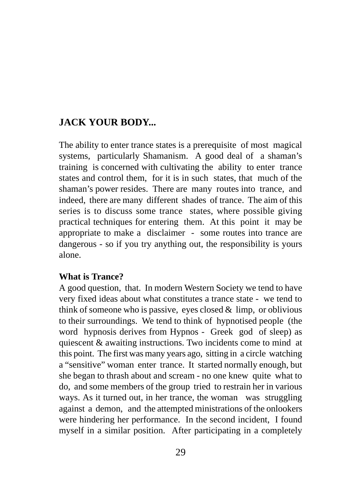## <span id="page-28-0"></span>**JACK YOUR BODY...**

The ability to enter trance states is a prerequisite of most magical systems, particularly Shamanism. A good deal of a shaman's training is concerned with cultivating the ability to enter trance states and control them, for it is in such states, that much of the shaman's power resides. There are many routes into trance, and indeed, there are many different shades of trance. The aim of this series is to discuss some trance states, where possible giving practical techniques for entering them. At this point it may be appropriate to make a disclaimer - some routes into trance are dangerous - so if you try anything out, the responsibility is yours alone.

### **What is Trance?**

A good question, that. In modern Western Society we tend to have very fixed ideas about what constitutes a trance state - we tend to think of someone who is passive, eyes closed  $\&$  limp, or oblivious to their surroundings. We tend to think of hypnotised people (the word hypnosis derives from Hypnos - Greek god of sleep) as quiescent & awaiting instructions. Two incidents come to mind at this point. The first was many years ago, sitting in a circle watching a "sensitive" woman enter trance. It started normally enough, but she began to thrash about and scream - no one knew quite what to do, and some members of the group tried to restrain her in various ways. As it turned out, in her trance, the woman was struggling against a demon, and the attempted ministrations of the onlookers were hindering her performance. In the second incident, I found myself in a similar position. After participating in a completely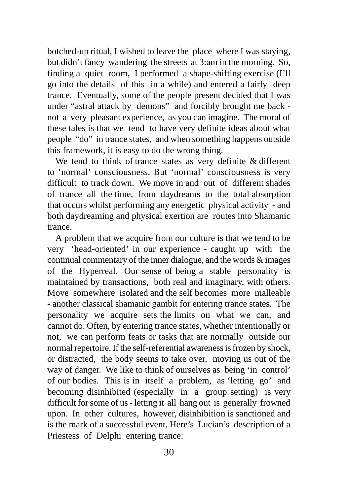botched-up ritual, I wished to leave the place where I was staying, but didn't fancy wandering the streets at 3:am in the morning. So, finding a quiet room, I performed a shape-shifting exercise (I'll go into the details of this in a while) and entered a fairly deep trance. Eventually, some of the people present decided that I was under "astral attack by demons" and forcibly brought me back not a very pleasant experience, as you can imagine. The moral of these tales is that we tend to have very definite ideas about what people "do" in trance states, and when something happens outside this framework, it is easy to do the wrong thing.

We tend to think of trance states as very definite & different to 'normal' consciousness. But 'normal' consciousness is very difficult to track down. We move in and out of different shades of trance all the time, from daydreams to the total absorption that occurs whilst performing any energetic physical activity - and both daydreaming and physical exertion are routes into Shamanic trance.

A problem that we acquire from our culture is that we tend to be very 'head-oriented' in our experience - caught up with the continual commentary of the inner dialogue, and the words  $\&$  images of the Hyperreal. Our sense of being a stable personality is maintained by transactions, both real and imaginary, with others. Move somewhere isolated and the self becomes more malleable - another classical shamanic gambit for entering trance states. The personality we acquire sets the limits on what we can, and cannot do. Often, by entering trance states, whether intentionally or not, we can perform feats or tasks that are normally outside our normal repertoire. If the self-referential awareness is frozen by shock, or distracted, the body seems to take over, moving us out of the way of danger. We like to think of ourselves as being 'in control' of our bodies. This is in itself a problem, as 'letting go' and becoming disinhibited (especially in a group setting) is very difficult for some of us - letting it all hang out is generally frowned upon. In other cultures, however, disinhibition is sanctioned and is the mark of a successful event. Here's Lucian's description of a Priestess of Delphi entering trance: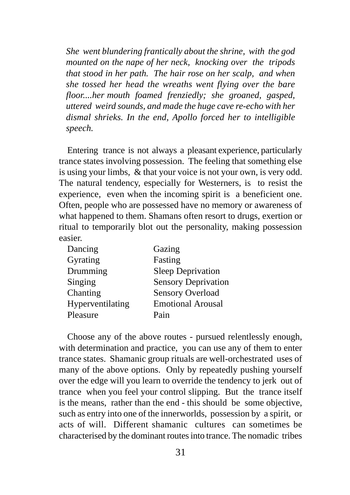*She went blundering frantically about the shrine, with the god mounted on the nape of her neck, knocking over the tripods that stood in her path. The hair rose on her scalp, and when she tossed her head the wreaths went flying over the bare floor....her mouth foamed frenziedly; she groaned, gasped, uttered weird sounds, and made the huge cave re-echo with her dismal shrieks. In the end, Apollo forced her to intelligible speech.*

Entering trance is not always a pleasant experience, particularly trance states involving possession. The feeling that something else is using your limbs, & that your voice is not your own, is very odd. The natural tendency, especially for Westerners, is to resist the experience, even when the incoming spirit is a beneficient one. Often, people who are possessed have no memory or awareness of what happened to them. Shamans often resort to drugs, exertion or ritual to temporarily blot out the personality, making possession easier.

| Gazing                     |
|----------------------------|
| Fasting                    |
| <b>Sleep Deprivation</b>   |
| <b>Sensory Deprivation</b> |
| <b>Sensory Overload</b>    |
| <b>Emotional Arousal</b>   |
| Pain                       |
|                            |

Choose any of the above routes - pursued relentlessly enough, with determination and practice, you can use any of them to enter trance states. Shamanic group rituals are well-orchestrated uses of many of the above options. Only by repeatedly pushing yourself over the edge will you learn to override the tendency to jerk out of trance when you feel your control slipping. But the trance itself is the means, rather than the end - this should be some objective, such as entry into one of the innerworlds, possession by a spirit, or acts of will. Different shamanic cultures can sometimes be characterised by the dominant routes into trance. The nomadic tribes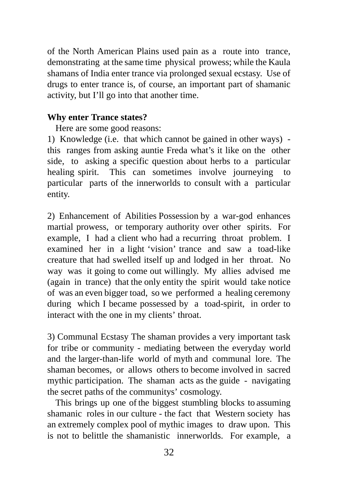of the North American Plains used pain as a route into trance, demonstrating at the same time physical prowess; while the Kaula shamans of India enter trance via prolonged sexual ecstasy. Use of drugs to enter trance is, of course, an important part of shamanic activity, but I'll go into that another time.

### **Why enter Trance states?**

Here are some good reasons:

1) Knowledge (i.e. that which cannot be gained in other ways) this ranges from asking auntie Freda what's it like on the other side, to asking a specific question about herbs to a particular healing spirit. This can sometimes involve journeying to particular parts of the innerworlds to consult with a particular entity.

2) Enhancement of Abilities Possession by a war-god enhances martial prowess, or temporary authority over other spirits. For example, I had a client who had a recurring throat problem. I examined her in a light 'vision' trance and saw a toad-like creature that had swelled itself up and lodged in her throat. No way was it going to come out willingly. My allies advised me (again in trance) that the only entity the spirit would take notice of was an even bigger toad, so we performed a healing ceremony during which I became possessed by a toad-spirit, in order to interact with the one in my clients' throat.

3) Communal Ecstasy The shaman provides a very important task for tribe or community - mediating between the everyday world and the larger-than-life world of myth and communal lore. The shaman becomes, or allows others to become involved in sacred mythic participation. The shaman acts as the guide - navigating the secret paths of the communitys' cosmology.

This brings up one of the biggest stumbling blocks to assuming shamanic roles in our culture - the fact that Western society has an extremely complex pool of mythic images to draw upon. This is not to belittle the shamanistic innerworlds. For example, a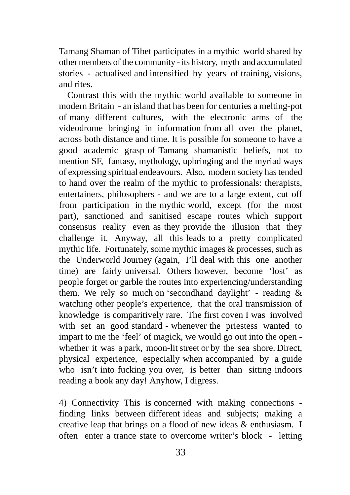Tamang Shaman of Tibet participates in a mythic world shared by other members of the community - its history, myth and accumulated stories - actualised and intensified by years of training, visions, and rites.

Contrast this with the mythic world available to someone in modern Britain - an island that has been for centuries a melting-pot of many different cultures, with the electronic arms of the videodrome bringing in information from all over the planet, across both distance and time. It is possible for someone to have a good academic grasp of Tamang shamanistic beliefs, not to mention SF, fantasy, mythology, upbringing and the myriad ways of expressing spiritual endeavours. Also, modern society has tended to hand over the realm of the mythic to professionals: therapists, entertainers, philosophers - and we are to a large extent, cut off from participation in the mythic world, except (for the most part), sanctioned and sanitised escape routes which support consensus reality even as they provide the illusion that they challenge it. Anyway, all this leads to a pretty complicated mythic life. Fortunately, some mythic images & processes, such as the Underworld Journey (again, I'll deal with this one another time) are fairly universal. Others however, become 'lost' as people forget or garble the routes into experiencing/understanding them. We rely so much on 'secondhand daylight' - reading  $\&$ watching other people's experience, that the oral transmission of knowledge is comparitively rare. The first coven I was involved with set an good standard - whenever the priestess wanted to impart to me the 'feel' of magick, we would go out into the open whether it was a park, moon-lit street or by the sea shore. Direct, physical experience, especially when accompanied by a guide who isn't into fucking you over, is better than sitting indoors reading a book any day! Anyhow, I digress.

4) Connectivity This is concerned with making connections finding links between different ideas and subjects; making a creative leap that brings on a flood of new ideas & enthusiasm. I often enter a trance state to overcome writer's block - letting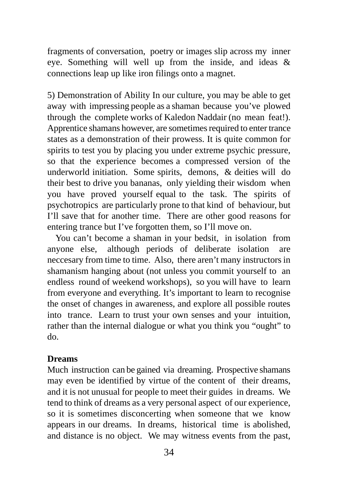fragments of conversation, poetry or images slip across my inner eye. Something will well up from the inside, and ideas & connections leap up like iron filings onto a magnet.

5) Demonstration of Ability In our culture, you may be able to get away with impressing people as a shaman because you've plowed through the complete works of Kaledon Naddair (no mean feat!). Apprentice shamans however, are sometimes required to enter trance states as a demonstration of their prowess. It is quite common for spirits to test you by placing you under extreme psychic pressure, so that the experience becomes a compressed version of the underworld initiation. Some spirits, demons, & deities will do their best to drive you bananas, only yielding their wisdom when you have proved yourself equal to the task. The spirits of psychotropics are particularly prone to that kind of behaviour, but I'll save that for another time. There are other good reasons for entering trance but I've forgotten them, so I'll move on.

You can't become a shaman in your bedsit, in isolation from anyone else, although periods of deliberate isolation are neccesary from time to time. Also, there aren't many instructors in shamanism hanging about (not unless you commit yourself to an endless round of weekend workshops), so you will have to learn from everyone and everything. It's important to learn to recognise the onset of changes in awareness, and explore all possible routes into trance. Learn to trust your own senses and your intuition, rather than the internal dialogue or what you think you "ought" to do.

#### **Dreams**

Much instruction can be gained via dreaming. Prospective shamans may even be identified by virtue of the content of their dreams, and it is not unusual for people to meet their guides in dreams. We tend to think of dreams as a very personal aspect of our experience, so it is sometimes disconcerting when someone that we know appears in our dreams. In dreams, historical time is abolished, and distance is no object. We may witness events from the past,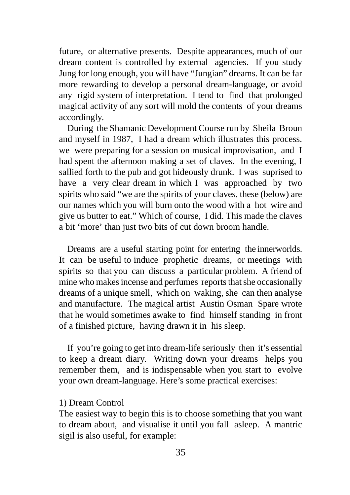future, or alternative presents. Despite appearances, much of our dream content is controlled by external agencies. If you study Jung for long enough, you will have "Jungian" dreams. It can be far more rewarding to develop a personal dream-language, or avoid any rigid system of interpretation. I tend to find that prolonged magical activity of any sort will mold the contents of your dreams accordingly.

During the Shamanic Development Course run by Sheila Broun and myself in 1987, I had a dream which illustrates this process. we were preparing for a session on musical improvisation, and I had spent the afternoon making a set of claves. In the evening, I sallied forth to the pub and got hideously drunk. I was suprised to have a very clear dream in which I was approached by two spirits who said "we are the spirits of your claves, these (below) are our names which you will burn onto the wood with a hot wire and give us butter to eat." Which of course, I did. This made the claves a bit 'more' than just two bits of cut down broom handle.

Dreams are a useful starting point for entering the innerworlds. It can be useful to induce prophetic dreams, or meetings with spirits so that you can discuss a particular problem. A friend of mine who makes incense and perfumes reports that she occasionally dreams of a unique smell, which on waking, she can then analyse and manufacture. The magical artist Austin Osman Spare wrote that he would sometimes awake to find himself standing in front of a finished picture, having drawn it in his sleep.

If you're going to get into dream-life seriously then it's essential to keep a dream diary. Writing down your dreams helps you remember them, and is indispensable when you start to evolve your own dream-language. Here's some practical exercises:

#### 1) Dream Control

The easiest way to begin this is to choose something that you want to dream about, and visualise it until you fall asleep. A mantric sigil is also useful, for example: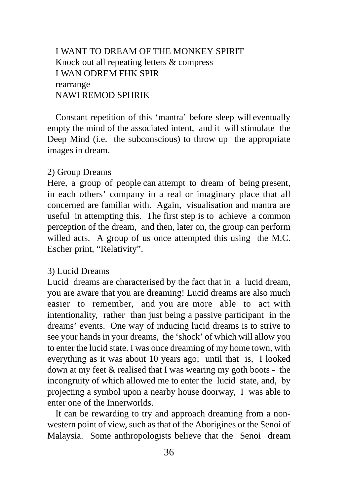## I WANT TO DREAM OF THE MONKEY SPIRIT Knock out all repeating letters & compress I WAN ODREM FHK SPIR rearrange NAWI REMOD SPHRIK

Constant repetition of this 'mantra' before sleep will eventually empty the mind of the associated intent, and it will stimulate the Deep Mind (i.e. the subconscious) to throw up the appropriate images in dream.

#### 2) Group Dreams

Here, a group of people can attempt to dream of being present, in each others' company in a real or imaginary place that all concerned are familiar with. Again, visualisation and mantra are useful in attempting this. The first step is to achieve a common perception of the dream, and then, later on, the group can perform willed acts. A group of us once attempted this using the M.C. Escher print, "Relativity".

#### 3) Lucid Dreams

Lucid dreams are characterised by the fact that in a lucid dream, you are aware that you are dreaming! Lucid dreams are also much easier to remember, and you are more able to act with intentionality, rather than just being a passive participant in the dreams' events. One way of inducing lucid dreams is to strive to see your hands in your dreams, the 'shock' of which will allow you to enter the lucid state. I was once dreaming of my home town, with everything as it was about 10 years ago; until that is, I looked down at my feet & realised that I was wearing my goth boots - the incongruity of which allowed me to enter the lucid state, and, by projecting a symbol upon a nearby house doorway, I was able to enter one of the Innerworlds.

It can be rewarding to try and approach dreaming from a nonwestern point of view, such as that of the Aborigines or the Senoi of Malaysia. Some anthropologists believe that the Senoi dream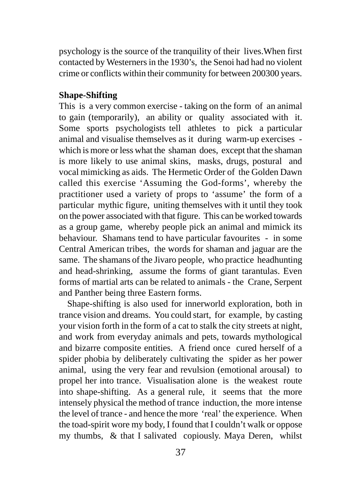psychology is the source of the tranquility of their lives.When first contacted by Westerners in the 1930's, the Senoi had had no violent crime or conflicts within their community for between 200300 years.

## **Shape-Shifting**

This is a very common exercise - taking on the form of an animal to gain (temporarily), an ability or quality associated with it. Some sports psychologists tell athletes to pick a particular animal and visualise themselves as it during warm-up exercises which is more or less what the shaman does, except that the shaman is more likely to use animal skins, masks, drugs, postural and vocal mimicking as aids. The Hermetic Order of the Golden Dawn called this exercise 'Assuming the God-forms', whereby the practitioner used a variety of props to 'assume' the form of a particular mythic figure, uniting themselves with it until they took on the power associated with that figure. This can be worked towards as a group game, whereby people pick an animal and mimick its behaviour. Shamans tend to have particular favourites - in some Central American tribes, the words for shaman and jaguar are the same. The shamans of the Jivaro people, who practice headhunting and head-shrinking, assume the forms of giant tarantulas. Even forms of martial arts can be related to animals - the Crane, Serpent and Panther being three Eastern forms.

Shape-shifting is also used for innerworld exploration, both in trance vision and dreams. You could start, for example, by casting your vision forth in the form of a cat to stalk the city streets at night, and work from everyday animals and pets, towards mythological and bizarre composite entities. A friend once cured herself of a spider phobia by deliberately cultivating the spider as her power animal, using the very fear and revulsion (emotional arousal) to propel her into trance. Visualisation alone is the weakest route into shape-shifting. As a general rule, it seems that the more intensely physical the method of trance induction, the more intense the level of trance - and hence the more 'real' the experience. When the toad-spirit wore my body, I found that I couldn't walk or oppose my thumbs, & that I salivated copiously. Maya Deren, whilst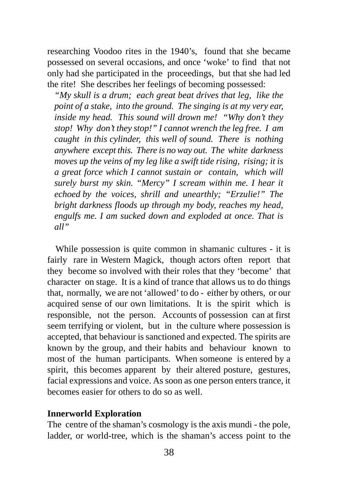researching Voodoo rites in the 1940's, found that she became possessed on several occasions, and once 'woke' to find that not only had she participated in the proceedings, but that she had led the rite! She describes her feelings of becoming possessed:

*"My skull is a drum; each great beat drives that leg, like the point of a stake, into the ground. The singing is at my very ear, inside my head. This sound will drown me! "Why don't they stop! Why don't they stop!" I cannot wrench the leg free. I am caught in this cylinder, this well of sound. There is nothing anywhere except this. There is no way out. The white darkness moves up the veins of my leg like a swift tide rising, rising; it is a great force which I cannot sustain or contain, which will surely burst my skin. "Mercy" I scream within me. I hear it echoed by the voices, shrill and unearthly; "Erzulie!" The bright darkness floods up through my body, reaches my head, engulfs me. I am sucked down and exploded at once. That is all"*

While possession is quite common in shamanic cultures - it is fairly rare in Western Magick, though actors often report that they become so involved with their roles that they 'become' that character on stage. It is a kind of trance that allows us to do things that, normally, we are not 'allowed' to do - either by others, or our acquired sense of our own limitations. It is the spirit which is responsible, not the person. Accounts of possession can at first seem terrifying or violent, but in the culture where possession is accepted, that behaviour is sanctioned and expected. The spirits are known by the group, and their habits and behaviour known to most of the human participants. When someone is entered by a spirit, this becomes apparent by their altered posture, gestures, facial expressions and voice. As soon as one person enters trance, it becomes easier for others to do so as well.

#### **Innerworld Exploration**

The centre of the shaman's cosmology is the axis mundi - the pole, ladder, or world-tree, which is the shaman's access point to the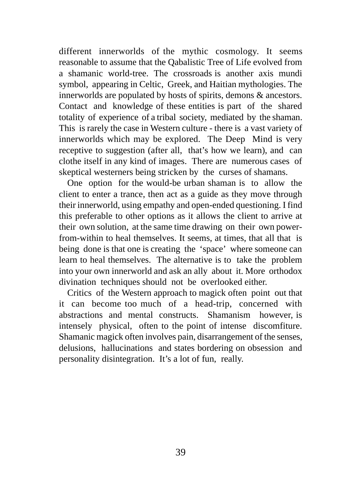different innerworlds of the mythic cosmology. It seems reasonable to assume that the Qabalistic Tree of Life evolved from a shamanic world-tree. The crossroads is another axis mundi symbol, appearing in Celtic, Greek, and Haitian mythologies. The innerworlds are populated by hosts of spirits, demons & ancestors. Contact and knowledge of these entities is part of the shared totality of experience of a tribal society, mediated by the shaman. This is rarely the case in Western culture - there is a vast variety of innerworlds which may be explored. The Deep Mind is very receptive to suggestion (after all, that's how we learn), and can clothe itself in any kind of images. There are numerous cases of skeptical westerners being stricken by the curses of shamans.

One option for the would-be urban shaman is to allow the client to enter a trance, then act as a guide as they move through their innerworld, using empathy and open-ended questioning. I find this preferable to other options as it allows the client to arrive at their own solution, at the same time drawing on their own powerfrom-within to heal themselves. It seems, at times, that all that is being done is that one is creating the 'space' where someone can learn to heal themselves. The alternative is to take the problem into your own innerworld and ask an ally about it. More orthodox divination techniques should not be overlooked either.

Critics of the Western approach to magick often point out that it can become too much of a head-trip, concerned with abstractions and mental constructs. Shamanism however, is intensely physical, often to the point of intense discomfiture. Shamanic magick often involves pain, disarrangement of the senses, delusions, hallucinations and states bordering on obsession and personality disintegration. It's a lot of fun, really.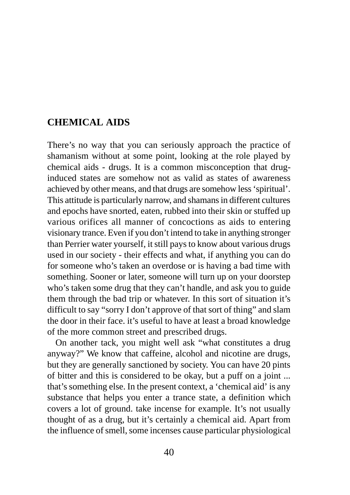## <span id="page-39-0"></span>**CHEMICAL AIDS**

There's no way that you can seriously approach the practice of shamanism without at some point, looking at the role played by chemical aids - drugs. It is a common misconception that druginduced states are somehow not as valid as states of awareness achieved by other means, and that drugs are somehow less 'spiritual'. This attitude is particularly narrow, and shamans in different cultures and epochs have snorted, eaten, rubbed into their skin or stuffed up various orifices all manner of concoctions as aids to entering visionary trance. Even if you don't intend to take in anything stronger than Perrier water yourself, it still pays to know about various drugs used in our society - their effects and what, if anything you can do for someone who's taken an overdose or is having a bad time with something. Sooner or later, someone will turn up on your doorstep who's taken some drug that they can't handle, and ask you to guide them through the bad trip or whatever. In this sort of situation it's difficult to say "sorry I don't approve of that sort of thing" and slam the door in their face. it's useful to have at least a broad knowledge of the more common street and prescribed drugs.

On another tack, you might well ask "what constitutes a drug anyway?" We know that caffeine, alcohol and nicotine are drugs, but they are generally sanctioned by society. You can have 20 pints of bitter and this is considered to be okay, but a puff on a joint ... that's something else. In the present context, a 'chemical aid' is any substance that helps you enter a trance state, a definition which covers a lot of ground. take incense for example. It's not usually thought of as a drug, but it's certainly a chemical aid. Apart from the influence of smell, some incenses cause particular physiological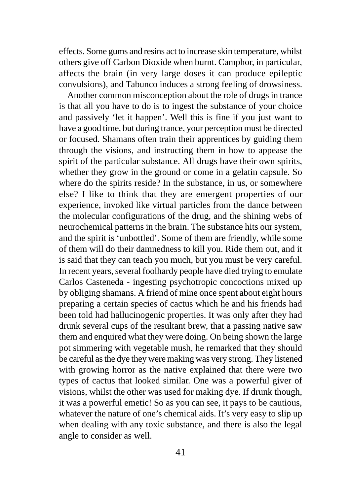effects. Some gums and resins act to increase skin temperature, whilst others give off Carbon Dioxide when burnt. Camphor, in particular, affects the brain (in very large doses it can produce epileptic convulsions), and Tabunco induces a strong feeling of drowsiness.

Another common misconception about the role of drugs in trance is that all you have to do is to ingest the substance of your choice and passively 'let it happen'. Well this is fine if you just want to have a good time, but during trance, your perception must be directed or focused. Shamans often train their apprentices by guiding them through the visions, and instructing them in how to appease the spirit of the particular substance. All drugs have their own spirits, whether they grow in the ground or come in a gelatin capsule. So where do the spirits reside? In the substance, in us, or somewhere else? I like to think that they are emergent properties of our experience, invoked like virtual particles from the dance between the molecular configurations of the drug, and the shining webs of neurochemical patterns in the brain. The substance hits our system, and the spirit is 'unbottled'. Some of them are friendly, while some of them will do their damnedness to kill you. Ride them out, and it is said that they can teach you much, but you must be very careful. In recent years, several foolhardy people have died trying to emulate Carlos Casteneda - ingesting psychotropic concoctions mixed up by obliging shamans. A friend of mine once spent about eight hours preparing a certain species of cactus which he and his friends had been told had hallucinogenic properties. It was only after they had drunk several cups of the resultant brew, that a passing native saw them and enquired what they were doing. On being shown the large pot simmering with vegetable mush, he remarked that they should be careful as the dye they were making was very strong. They listened with growing horror as the native explained that there were two types of cactus that looked similar. One was a powerful giver of visions, whilst the other was used for making dye. If drunk though, it was a powerful emetic! So as you can see, it pays to be cautious, whatever the nature of one's chemical aids. It's very easy to slip up when dealing with any toxic substance, and there is also the legal angle to consider as well.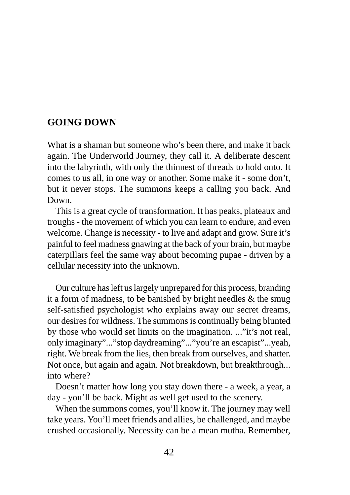## <span id="page-41-0"></span>**GOING DOWN**

What is a shaman but someone who's been there, and make it back again. The Underworld Journey, they call it. A deliberate descent into the labyrinth, with only the thinnest of threads to hold onto. It comes to us all, in one way or another. Some make it - some don't, but it never stops. The summons keeps a calling you back. And Down.

This is a great cycle of transformation. It has peaks, plateaux and troughs - the movement of which you can learn to endure, and even welcome. Change is necessity - to live and adapt and grow. Sure it's painful to feel madness gnawing at the back of your brain, but maybe caterpillars feel the same way about becoming pupae - driven by a cellular necessity into the unknown.

Our culture has left us largely unprepared for this process, branding it a form of madness, to be banished by bright needles  $\&$  the smug self-satisfied psychologist who explains away our secret dreams, our desires for wildness. The summons is continually being blunted by those who would set limits on the imagination. ..."it's not real, only imaginary"..."stop daydreaming"..."you're an escapist"...yeah, right. We break from the lies, then break from ourselves, and shatter. Not once, but again and again. Not breakdown, but breakthrough... into where?

Doesn't matter how long you stay down there - a week, a year, a day - you'll be back. Might as well get used to the scenery.

When the summons comes, you'll know it. The journey may well take years. You'll meet friends and allies, be challenged, and maybe crushed occasionally. Necessity can be a mean mutha. Remember,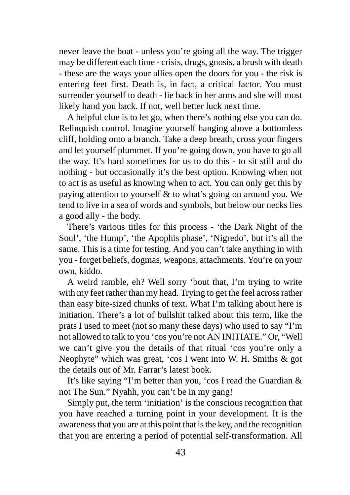never leave the boat - unless you're going all the way. The trigger may be different each time - crisis, drugs, gnosis, a brush with death - these are the ways your allies open the doors for you - the risk is entering feet first. Death is, in fact, a critical factor. You must surrender yourself to death - lie back in her arms and she will most likely hand you back. If not, well better luck next time.

A helpful clue is to let go, when there's nothing else you can do. Relinquish control. Imagine yourself hanging above a bottomless cliff, holding onto a branch. Take a deep breath, cross your fingers and let yourself plummet. If you're going down, you have to go all the way. It's hard sometimes for us to do this - to sit still and do nothing - but occasionally it's the best option. Knowing when not to act is as useful as knowing when to act. You can only get this by paying attention to yourself & to what's going on around you. We tend to live in a sea of words and symbols, but below our necks lies a good ally - the body.

There's various titles for this process - 'the Dark Night of the Soul', 'the Hump', 'the Apophis phase', 'Nigredo', but it's all the same. This is a time for testing. And you can't take anything in with you - forget beliefs, dogmas, weapons, attachments. You're on your own, kiddo.

A weird ramble, eh? Well sorry 'bout that, I'm trying to write with my feet rather than my head. Trying to get the feel across rather than easy bite-sized chunks of text. What I'm talking about here is initiation. There's a lot of bullshit talked about this term, like the prats I used to meet (not so many these days) who used to say "I'm not allowed to talk to you 'cos you're not AN INITIATE." Or, "Well we can't give you the details of that ritual 'cos you're only a Neophyte" which was great, 'cos I went into W. H. Smiths & got the details out of Mr. Farrar's latest book.

It's like saying "I'm better than you, 'cos I read the Guardian & not The Sun." Nyahh, you can't be in my gang!

Simply put, the term 'initiation' is the conscious recognition that you have reached a turning point in your development. It is the awareness that you are at this point that is the key, and the recognition that you are entering a period of potential self-transformation. All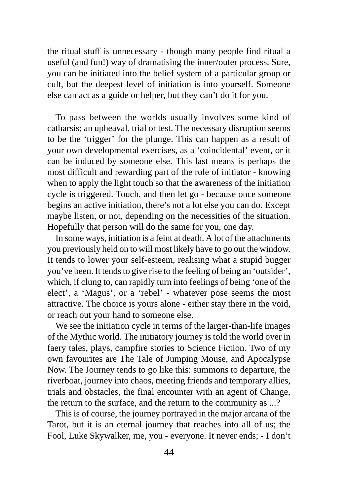the ritual stuff is unnecessary - though many people find ritual a useful (and fun!) way of dramatising the inner/outer process. Sure, you can be initiated into the belief system of a particular group or cult, but the deepest level of initiation is into yourself. Someone else can act as a guide or helper, but they can't do it for you.

To pass between the worlds usually involves some kind of catharsis; an upheaval, trial or test. The necessary disruption seems to be the 'trigger' for the plunge. This can happen as a result of your own developmental exercises, as a 'coincidental' event, or it can be induced by someone else. This last means is perhaps the most difficult and rewarding part of the role of initiator - knowing when to apply the light touch so that the awareness of the initiation cycle is triggered. Touch, and then let go - because once someone begins an active initiation, there's not a lot else you can do. Except maybe listen, or not, depending on the necessities of the situation. Hopefully that person will do the same for you, one day.

In some ways, initiation is a feint at death. A lot of the attachments you previously held on to will most likely have to go out the window. It tends to lower your self-esteem, realising what a stupid bugger you've been. It tends to give rise to the feeling of being an 'outsider', which, if clung to, can rapidly turn into feelings of being 'one of the elect', a 'Magus', or a 'rebel' - whatever pose seems the most attractive. The choice is yours alone - either stay there in the void, or reach out your hand to someone else.

We see the initiation cycle in terms of the larger-than-life images of the Mythic world. The initiatory journey is told the world over in faery tales, plays, campfire stories to Science Fiction. Two of my own favourites are The Tale of Jumping Mouse, and Apocalypse Now. The Journey tends to go like this: summons to departure, the riverboat, journey into chaos, meeting friends and temporary allies, trials and obstacles, the final encounter with an agent of Change, the return to the surface, and the return to the community as ...?

This is of course, the journey portrayed in the major arcana of the Tarot, but it is an eternal journey that reaches into all of us; the Fool, Luke Skywalker, me, you - everyone. It never ends; - I don't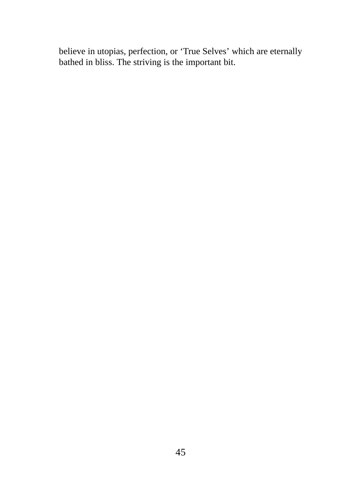believe in utopias, perfection, or 'True Selves' which are eternally bathed in bliss. The striving is the important bit.